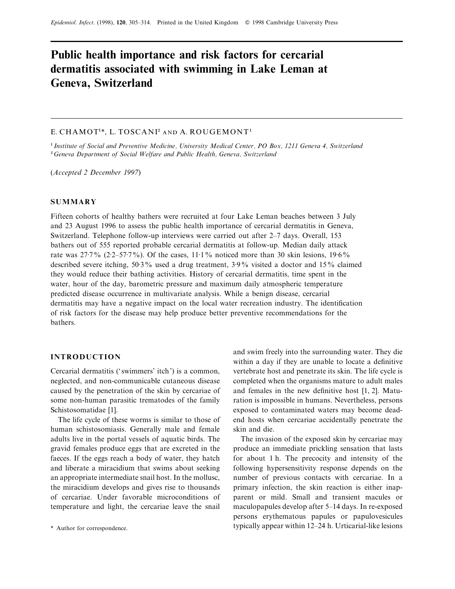# **Public health importance and risk factors for cercarial dermatitis associated with swimming in Lake Leman at Geneva, Switzerland**

# E. CHAMOT<sup>1\*</sup>, L. TOSCANI<sup>2</sup> AND A. ROUGEMONT<sup>1</sup>

"*Institute of Social and Preventive Medicine, University Medical Center, PO Box, 1211 Geneva 4, Switzerland* #*Geneva Department of Social Welfare and Public Health, Geneva, Switzerland*

(*Accepted 2 December 1997*)

## **SUMMARY**

Fifteen cohorts of healthy bathers were recruited at four Lake Leman beaches between 3 July and 23 August 1996 to assess the public health importance of cercarial dermatitis in Geneva, Switzerland. Telephone follow-up interviews were carried out after 2–7 days. Overall, 153 bathers out of 555 reported probable cercarial dermatitis at follow-up. Median daily attack rate was  $27.7\%$  (2.2–57.7%). Of the cases, 11.1% noticed more than 30 skin lesions, 19.6% described severe itching,  $50.3\%$  used a drug treatment,  $3.9\%$  visited a doctor and  $15\%$  claimed they would reduce their bathing activities. History of cercarial dermatitis, time spent in the water, hour of the day, barometric pressure and maximum daily atmospheric temperature predicted disease occurrence in multivariate analysis. While a benign disease, cercarial dermatitis may have a negative impact on the local water recreation industry. The identification of risk factors for the disease may help produce better preventive recommendations for the bathers.

# **INTRODUCTION**

Cercarial dermatitis (' swimmers' itch') is a common, neglected, and non-communicable cutaneous disease caused by the penetration of the skin by cercariae of some non-human parasitic trematodes of the family Schistosomatidae [1].

The life cycle of these worms is similar to those of human schistosomiasis. Generally male and female adults live in the portal vessels of aquatic birds. The gravid females produce eggs that are excreted in the faeces. If the eggs reach a body of water, they hatch and liberate a miracidium that swims about seeking an appropriate intermediate snail host. In the mollusc, the miracidium develops and gives rise to thousands of cercariae. Under favorable microconditions of temperature and light, the cercariae leave the snail and swim freely into the surrounding water. They die within a day if they are unable to locate a definitive vertebrate host and penetrate its skin. The life cycle is completed when the organisms mature to adult males and females in the new definitive host [1, 2]. Maturation is impossible in humans. Nevertheless, persons exposed to contaminated waters may become deadend hosts when cercariae accidentally penetrate the skin and die.

The invasion of the exposed skin by cercariae may produce an immediate prickling sensation that lasts for about 1 h. The precocity and intensity of the following hypersensitivity response depends on the number of previous contacts with cercariae. In a primary infection, the skin reaction is either inapparent or mild. Small and transient macules or maculopapules develop after 5–14 days. In re-exposed persons erythematous papules or papulovesicules typically appear within 12–24 h. Urticarial-like lesions

<sup>\*</sup> Author for correspondence.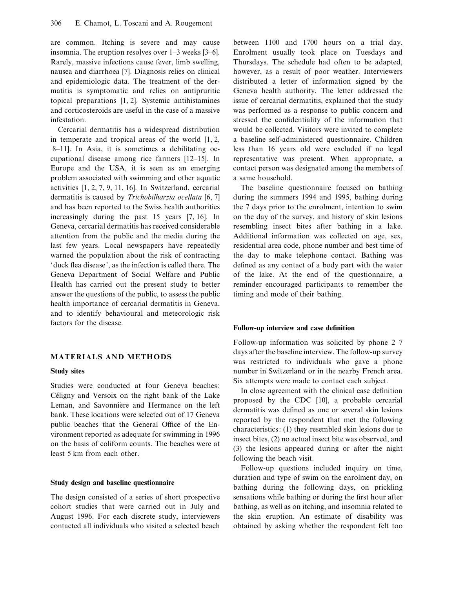are common. Itching is severe and may cause insomnia. The eruption resolves over 1–3 weeks [3–6]. Rarely, massive infections cause fever, limb swelling, nausea and diarrhoea [7]. Diagnosis relies on clinical and epidemiologic data. The treatment of the dermatitis is symptomatic and relies on antipruritic topical preparations [1, 2]. Systemic antihistamines and corticosteroids are useful in the case of a massive infestation.

Cercarial dermatitis has a widespread distribution in temperate and tropical areas of the world [1, 2, 8–11]. In Asia, it is sometimes a debilitating occupational disease among rice farmers [12–15]. In Europe and the USA, it is seen as an emerging problem associated with swimming and other aquatic activities [1, 2, 7, 9, 11, 16]. In Switzerland, cercarial dermatitis is caused by *Trichobilharzia ocellata* [6, 7] and has been reported to the Swiss health authorities increasingly during the past 15 years [7, 16]. In Geneva, cercarial dermatitis has received considerable attention from the public and the media during the last few years. Local newspapers have repeatedly warned the population about the risk of contracting 'duck flea disease', as the infection is called there. The Geneva Department of Social Welfare and Public Health has carried out the present study to better answer the questions of the public, to assess the public health importance of cercarial dermatitis in Geneva, and to identify behavioural and meteorologic risk factors for the disease.

# **MATERIALS AND METHODS**

#### **Study sites**

Studies were conducted at four Geneva beaches: Céligny and Versoix on the right bank of the Lake Leman, and Savonnière and Hermance on the left bank. These locations were selected out of 17 Geneva public beaches that the General Office of the Environment reported as adequate for swimming in 1996 on the basis of coliform counts. The beaches were at least 5 km from each other.

## **Study design and baseline questionnaire**

The design consisted of a series of short prospective cohort studies that were carried out in July and August 1996. For each discrete study, interviewers contacted all individuals who visited a selected beach between 1100 and 1700 hours on a trial day. Enrolment usually took place on Tuesdays and Thursdays. The schedule had often to be adapted, however, as a result of poor weather. Interviewers distributed a letter of information signed by the Geneva health authority. The letter addressed the issue of cercarial dermatitis, explained that the study was performed as a response to public concern and stressed the confidentiality of the information that would be collected. Visitors were invited to complete a baseline self-administered questionnaire. Children less than 16 years old were excluded if no legal representative was present. When appropriate, a contact person was designated among the members of a same household.

The baseline questionnaire focused on bathing during the summers 1994 and 1995, bathing during the 7 days prior to the enrolment, intention to swim on the day of the survey, and history of skin lesions resembling insect bites after bathing in a lake. Additional information was collected on age, sex, residential area code, phone number and best time of the day to make telephone contact. Bathing was defined as any contact of a body part with the water of the lake. At the end of the questionnaire, a reminder encouraged participants to remember the timing and mode of their bathing.

#### **Follow-up interview and case definition**

Follow-up information was solicited by phone 2–7 days after the baseline interview. The follow-up survey was restricted to individuals who gave a phone number in Switzerland or in the nearby French area. Six attempts were made to contact each subject.

In close agreement with the clinical case definition proposed by the CDC [10], a probable cercarial dermatitis was defined as one or several skin lesions reported by the respondent that met the following characteristics: (1) they resembled skin lesions due to insect bites, (2) no actual insect bite was observed, and (3) the lesions appeared during or after the night following the beach visit.

Follow-up questions included inquiry on time, duration and type of swim on the enrolment day, on bathing during the following days, on prickling sensations while bathing or during the first hour after bathing, as well as on itching, and insomnia related to the skin eruption. An estimate of disability was obtained by asking whether the respondent felt too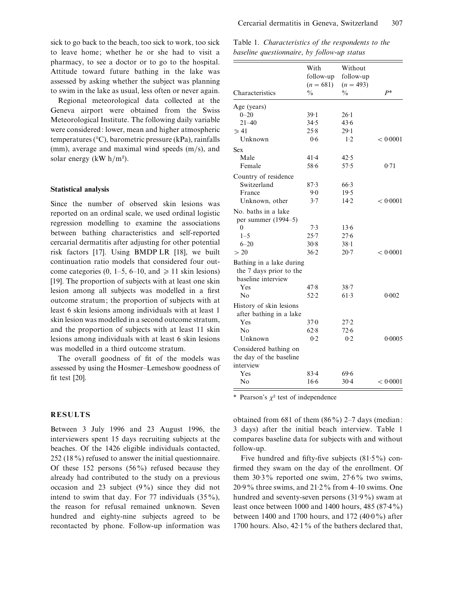sick to go back to the beach, too sick to work, too sick to leave home; whether he or she had to visit a pharmacy, to see a doctor or to go to the hospital. Attitude toward future bathing in the lake was assessed by asking whether the subject was planning to swim in the lake as usual, less often or never again.

Regional meteorological data collected at the Geneva airport were obtained from the Swiss Meteorological Institute. The following daily variable were considered: lower, mean and higher atmospheric temperatures (°C), barometric pressure (kPa), rainfalls (mm), average and maximal wind speeds  $(m/s)$ , and solar energy (kW  $h/m^2$ ).

### **Statistical analysis**

Since the number of observed skin lesions was reported on an ordinal scale, we used ordinal logistic regression modelling to examine the associations between bathing characteristics and self-reported cercarial dermatitis after adjusting for other potential risk factors [17]. Using BMDP LR [18], we built continuation ratio models that considered four outcome categories (0, 1–5, 6–10, and  $\geq 11$  skin lesions) [19]. The proportion of subjects with at least one skin lesion among all subjects was modelled in a first outcome stratum; the proportion of subjects with at least 6 skin lesions among individuals with at least 1 skin lesion was modelled in a second outcome stratum, and the proportion of subjects with at least 11 skin lesions among individuals with at least 6 skin lesions was modelled in a third outcome stratum.

The overall goodness of fit of the models was assessed by using the Hosmer–Lemeshow goodness of fit test [20].

#### **RESULTS**

Between 3 July 1996 and 23 August 1996, the interviewers spent 15 days recruiting subjects at the beaches. Of the 1426 eligible individuals contacted, 252 (18%) refused to answer the initial questionnaire. Of these 152 persons  $(56\%)$  refused because they already had contributed to the study on a previous occasion and 23 subject (9%) since they did not intend to swim that day. For 77 individuals (35%), the reason for refusal remained unknown. Seven hundred and eighty-nine subjects agreed to be recontacted by phone. Follow-up information was

| Table 1. Characteristics of the respondents to the |  |  |
|----------------------------------------------------|--|--|
| baseline questionnaire, by follow-up status        |  |  |

|                                                     | With          | Without       |          |
|-----------------------------------------------------|---------------|---------------|----------|
|                                                     | follow-up     | follow-up     |          |
|                                                     | $(n = 681)$   | $(n = 493)$   |          |
| Characteristics                                     | $\frac{0}{0}$ | $\frac{0}{0}$ | $P^*$    |
| Age (years)                                         |               |               |          |
| $0 - 20$                                            | $39-1$        | $26-1$        |          |
| $21 - 40$                                           | 34.5          | 43.6          |          |
| $\geq 41$                                           | 25.8          | 29.1          |          |
| Unknown                                             | 0.6           | 1.2           | < 0.0001 |
| Sex                                                 |               |               |          |
| Male                                                | 41.4          | 42.5          |          |
| Female                                              | 58.6          | 57.5          | 0.71     |
| Country of residence                                |               |               |          |
| Switzerland                                         | 87.3          | 66.3          |          |
| France                                              | 9.0           | 19.5          |          |
| Unknown, other                                      | 3.7           | 14.2          | < 0.0001 |
| No. baths in a lake                                 |               |               |          |
| per summer $(1994-5)$                               |               |               |          |
| 0                                                   | 7.3           | 13.6          |          |
| $1 - 5$                                             | $25 - 7$      | 27.6          |          |
| $6 - 20$                                            | 30.8          | $38-1$        |          |
| > 20                                                | 36.2          | $20 - 7$      | < 0.0001 |
|                                                     |               |               |          |
| Bathing in a lake during<br>the 7 days prior to the |               |               |          |
| baseline interview                                  |               |               |          |
| Yes                                                 | 47.8          | $38 - 7$      |          |
| Nο                                                  | 52.2          | 61.3          | 0.002    |
|                                                     |               |               |          |
| History of skin lesions                             |               |               |          |
| after bathing in a lake                             |               |               |          |
| Yes                                                 | 37.0          | $27-2$        |          |
| No                                                  | 62.8<br>0.2   | 72.6          | 0.0005   |
| Unknown                                             |               | 0.2           |          |
| Considered bathing on                               |               |               |          |
| the day of the baseline                             |               |               |          |
| interview                                           |               |               |          |
| Yes                                                 | 83.4          | 69.6          |          |
| No                                                  | 16.6          | $30-4$        | < 0.0001 |

\* Pearson's  $\chi^2$  test of independence

obtained from 681 of them  $(86\%)$  2–7 days (median: 3 days) after the initial beach interview. Table 1 compares baseline data for subjects with and without follow-up.

Five hundred and fifty-five subjects  $(81.5\%)$  confirmed they swam on the day of the enrollment. Of them  $30.3\%$  reported one swim,  $27.6\%$  two swims,  $20.9\%$  three swims, and  $21.2\%$  from 4–10 swims. One hundred and seventy-seven persons  $(31.9\%)$  swam at least once between 1000 and 1400 hours, 485 (87±4%) between 1400 and 1700 hours, and 172 (40 $\cdot$ 0%) after 1700 hours. Also,  $42·1\%$  of the bathers declared that,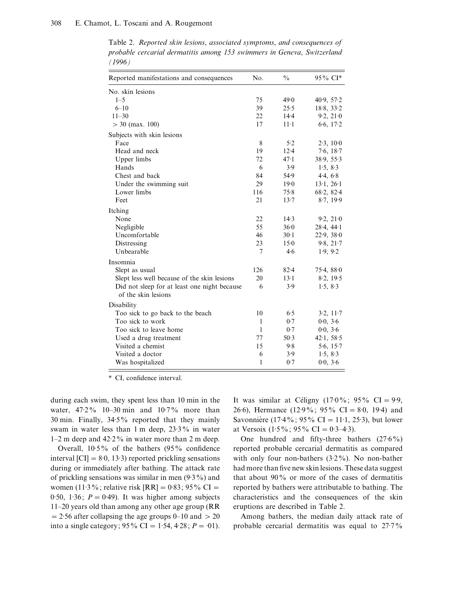| Reported manifestations and consequences                            | No.            | $\frac{0}{0}$ | 95% CI*     |
|---------------------------------------------------------------------|----------------|---------------|-------------|
| No. skin lesions                                                    |                |               |             |
| $1 - 5$                                                             | 75             | 49.0          | 40.9, 57.2  |
| $6 - 10$                                                            | 39             | 25.5          | 18.8, 33.2  |
| $11 - 30$                                                           | 22             | 14.4          | 9.2, 21.0   |
| $> 30$ (max. 100)                                                   | 17             | $11-1$        | 6.6, $17.2$ |
| Subjects with skin lesions                                          |                |               |             |
| Face                                                                | 8              | 5.2           | 2.3, 10.0   |
| Head and neck                                                       | 19             | 12.4          | 7.6, 18.7   |
| Upper limbs                                                         | 72             | 47.1          | 38.9, 55.3  |
| Hands                                                               | 6              | 3.9           | 1.5, 8.3    |
| Chest and back                                                      | 84             | 54.9          | 4.4, 6.8    |
| Under the swimming suit                                             | 29             | 19.0          | 13.1, 26.1  |
| Lower limbs                                                         | 116            | 75.8          | 68.2, 82.4  |
| Feet                                                                | 21             | 13.7          | 8.7, 19.9   |
| Itching                                                             |                |               |             |
| None                                                                | 22             | 14.3          | 9.2, 21.0   |
| Negligible                                                          | 55             | 36.0          | 28.4, 44.1  |
| Uncomfortable                                                       | 46             | $30-1$        | 22.9, 38.0  |
| Distressing                                                         | 23             | 15.0          | 9.8, 21.7   |
| Unbearable                                                          | $\overline{7}$ | 4.6           | 1.9, 9.2    |
| Insomnia                                                            |                |               |             |
| Slept as usual                                                      | 126            | $82 - 4$      | 75.4, 88.0  |
| Slept less well because of the skin lesions                         | 20             | $13-1$        | 8.2, 19.5   |
| Did not sleep for at least one night because<br>of the skin lesions | 6              | 3.9           | 1.5, 8.3    |
|                                                                     |                |               |             |
| Disability                                                          |                |               |             |
| Too sick to go back to the beach                                    | 10             | 6.5           | 3.2, 11.7   |
| Too sick to work                                                    | $\mathbf{1}$   | 0.7           | 0.0, 3.6    |
| Too sick to leave home                                              | 1              | 0.7           | 0.0, 3.6    |
| Used a drug treatment                                               | 77             | $50-3$        | 42.1, 58.5  |
| Visited a chemist                                                   | 15             | 9.8           | 5.6, 15.7   |
| Visited a doctor                                                    | 6              | 3.9           | 1.5, 8.3    |
| Was hospitalized                                                    | 1              | 0.7           | 0.0, 3.6    |

Table 2. *Reported skin lesions*, *associated symptoms*, *and consequences of probable cercarial dermatitis among 153 swimmers in Geneva*, *Switzerland (1996)*

\* CI, confidence interval.

during each swim, they spent less than 10 min in the water,  $47.2\%$  10–30 min and 10.7% more than 30 min. Finally,  $34.5\%$  reported that they mainly swam in water less than  $1 \text{ m}$  deep,  $23.3\%$  in water  $1-2$  m deep and  $42.2\%$  in water more than 2 m deep.

Overall, 10±5% of the bathers (95% confidence interval  $\text{[CI]} = 8.0, 13.3$  reported prickling sensations during or immediately after bathing. The attack rate of prickling sensations was similar in men  $(9.3\%)$  and women (11.3%; relative risk  $[RR] = 0.83$ ; 95% CI = 0.50, 1.36;  $P = 0.49$ ). It was higher among subjects 11–20 years old than among any other age group (RR  $=$  2.56 after collapsing the age groups 0–10 and  $>$  20 into a single category;  $95\%$  CI = 1.54, 4.28; *P* = 01). It was similar at Céligny (17 $\cdot$ 0%; 95% CI = 9 $\cdot$ 9, 26.6), Hermance (12.9%; 95% CI = 8.0, 19.4) and Savonnière (17 $4\%$ ; 95 $\%$  CI = 11 $\cdot$ 1, 25 $\cdot$ 3), but lower at Versoix  $(1.5\%; 95\% \text{ CI} = 0.3-4.3).$ 

One hundred and fifty-three bathers  $(27.6\%)$ reported probable cercarial dermatitis as compared with only four non-bathers  $(3.2\%)$ . No non-bather had more than five new skin lesions. These data suggest that about 90% or more of the cases of dermatitis reported by bathers were attributable to bathing. The characteristics and the consequences of the skin eruptions are described in Table 2.

Among bathers, the median daily attack rate of probable cercarial dermatitis was equal to  $27.7\%$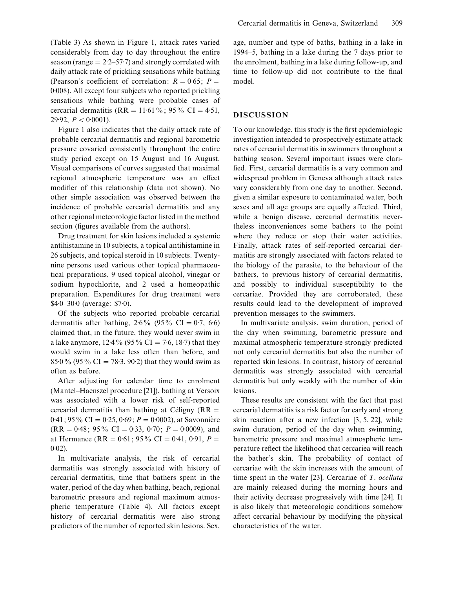(Table 3) As shown in Figure 1, attack rates varied considerably from day to day throughout the entire season (range  $= 2.2-57.7$ ) and strongly correlated with daily attack rate of prickling sensations while bathing (Pearson's coefficient of correlation:  $R = 0.65$ ;  $P =$ 0.008). All except four subjects who reported prickling sensations while bathing were probable cases of cercarial dermatitis (RR = 11.61%; 95% CI = 4.51, 29 $\cdot$ 92,  $P < 0 \cdot 0001$ ).

Figure 1 also indicates that the daily attack rate of probable cercarial dermatitis and regional barometric pressure covaried consistently throughout the entire study period except on 15 August and 16 August. Visual comparisons of curves suggested that maximal regional atmospheric temperature was an effect modifier of this relationship (data not shown). No other simple association was observed between the incidence of probable cercarial dermatitis and any other regional meteorologic factor listed in the method section (figures available from the authors).

Drug treatment for skin lesions included a systemic antihistamine in 10 subjects, a topical antihistamine in 26 subjects, and topical steroid in 10 subjects. Twentynine persons used various other topical pharmaceutical preparations, 9 used topical alcohol, vinegar or sodium hypochlorite, and 2 used a homeopathic preparation. Expenditures for drug treatment were  $$4·0-30·0$  (average: \$7·0).

Of the subjects who reported probable cercarial dermatitis after bathing,  $2.6\%$  (95% CI = 0.7, 6.6) claimed that, in the future, they would never swim in a lake anymore,  $12.4\%$  (95% CI = 7.6, 18.7) that they would swim in a lake less often than before, and 85 $\cdot$ 0% (95% CI = 78 $\cdot$ 3, 90 $\cdot$ 2) that they would swim as often as before.

After adjusting for calendar time to enrolment (Mantel–Haenszel procedure [21]), bathing at Versoix was associated with a lower risk of self-reported cercarial dermatitis than bathing at Céligny ( $RR =$  $0.41$ ; 95% CI = 0.25, 0.69; *P* = 0.0002), at Savonnière  $(RR = 0.48; 95\% \text{ CI} = 0.33, 0.70; P = 0.0009)$ , and at Hermance (RR =  $0.61$ ; 95% CI = 0.41, 0.91, *P* =  $0.02$ ).

In multivariate analysis, the risk of cercarial dermatitis was strongly associated with history of cercarial dermatitis, time that bathers spent in the water, period of the day when bathing, beach, regional barometric pressure and regional maximum atmospheric temperature (Table 4). All factors except history of cercarial dermatitis were also strong predictors of the number of reported skin lesions. Sex, age, number and type of baths, bathing in a lake in 1994–5, bathing in a lake during the 7 days prior to the enrolment, bathing in a lake during follow-up, and time to follow-up did not contribute to the final model.

# **DISCUSSION**

To our knowledge, this study is the first epidemiologic investigation intended to prospectively estimate attack rates of cercarial dermatitis in swimmers throughout a bathing season. Several important issues were clarified. First, cercarial dermatitis is a very common and widespread problem in Geneva although attack rates vary considerably from one day to another. Second, given a similar exposure to contaminated water, both sexes and all age groups are equally affected. Third, while a benign disease, cercarial dermatitis nevertheless inconveniences some bathers to the point where they reduce or stop their water activities. Finally, attack rates of self-reported cercarial dermatitis are strongly associated with factors related to the biology of the parasite, to the behaviour of the bathers, to previous history of cercarial dermatitis, and possibly to individual susceptibility to the cercariae. Provided they are corroborated, these results could lead to the development of improved prevention messages to the swimmers.

In multivariate analysis, swim duration, period of the day when swimming, barometric pressure and maximal atmospheric temperature strongly predicted not only cercarial dermatitis but also the number of reported skin lesions. In contrast, history of cercarial dermatitis was strongly associated with cercarial dermatitis but only weakly with the number of skin lesions.

These results are consistent with the fact that past cercarial dermatitis is a risk factor for early and strong skin reaction after a new infection [3, 5, 22], while swim duration, period of the day when swimming, barometric pressure and maximal atmospheric temperature reflect the likelihood that cercariea will reach the bather's skin. The probability of contact of cercariae with the skin increases with the amount of time spent in the water [23]. Cercariae of *T*. *ocellata* are mainly released during the morning hours and their activity decrease progressively with time [24]. It is also likely that meteorologic conditions somehow affect cercarial behaviour by modifying the physical characteristics of the water.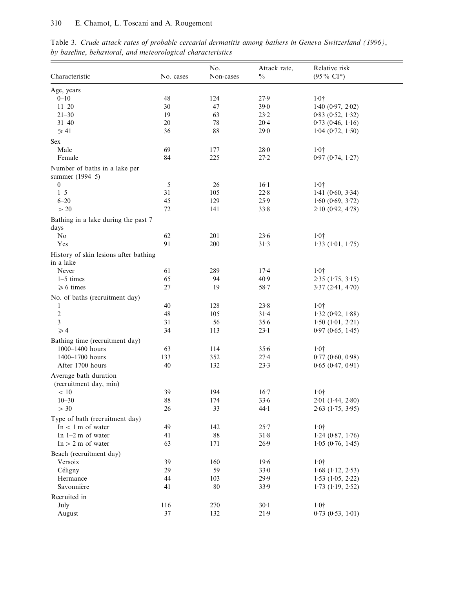| Characteristic                                     | No. cases | No.<br>Non-cases | Attack rate,<br>$\frac{0}{0}$ | Relative risk<br>$(95\% \text{ CI*})$ |
|----------------------------------------------------|-----------|------------------|-------------------------------|---------------------------------------|
| Age, years                                         |           |                  |                               |                                       |
| $0 - 10$                                           | 48        | 124              | 27.9                          | $1.0$ †                               |
| $11 - 20$                                          | 30        | 47               | 39.0                          | $1.40$ (0.97, 2.02)                   |
| $21 - 30$                                          | 19        | 63               | 23.2                          | $0.83$ $(0.52, 1.32)$                 |
| $31 - 40$                                          | 20        | 78               | $20-4$                        | $0.73$ $(0.46, 1.16)$                 |
|                                                    |           | 88               |                               |                                       |
| $\geq 41$                                          | 36        |                  | 29.0                          | $1.04$ $(0.72, 1.50)$                 |
| <b>Sex</b>                                         |           |                  |                               |                                       |
| Male                                               | 69        | 177              | $28 - 0$                      | $1.0$ †                               |
| Female                                             | 84        | 225              | $27 - 2$                      | 0.97(0.74, 1.27)                      |
| Number of baths in a lake per<br>summer (1994–5)   |           |                  |                               |                                       |
| $\boldsymbol{0}$                                   | 5         | 26               | $16-1$                        | $1.0$ †                               |
| $1 - 5$                                            | 31        | 105              | 22.8                          | $1.41$ (0.60, 3.34)                   |
| $6 - 20$                                           | 45        | 129              | 25.9                          | $1.60$ (0.69, 3.72)                   |
| $>20$                                              | 72        | 141              | 33.8                          | 2.10(0.92, 4.78)                      |
| Bathing in a lake during the past 7                |           |                  |                               |                                       |
| days                                               |           |                  |                               |                                       |
| No                                                 | 62        | 201              | 23.6                          | $1.0$ †                               |
| Yes                                                | 91        | 200              | 31.3                          | $1.33$ $(1.01, 1.75)$                 |
| History of skin lesions after bathing<br>in a lake |           |                  |                               |                                       |
| Never                                              | 61        | 289              | $17-4$                        | $1.0$ †                               |
| $1-5$ times                                        | 65        | 94               | 40.9                          | 2.35(1.75, 3.15)                      |
| $\geqslant 6$ times                                | 27        | 19               | $58-7$                        | 3.37(2.41, 4.70)                      |
| No. of baths (recruitment day)                     |           |                  |                               |                                       |
| 1                                                  | 40        | 128              | 23.8                          | $1.0$ †                               |
| $\overline{c}$                                     | 48        | 105              | $31 - 4$                      | 1.32(0.92, 1.88)                      |
| 3                                                  | 31        | 56               | 35.6                          | 1.50(1.01, 2.21)                      |
| $\geqslant$ 4                                      | 34        | 113              | $23 - 1$                      | 0.97(0.65, 1.45)                      |
|                                                    |           |                  |                               |                                       |
| Bathing time (recruitment day)                     |           |                  |                               |                                       |
| 1000-1400 hours                                    | 63        | 114              | 35.6                          | $1.0$ †                               |
| 1400-1700 hours                                    | 133       | 352              | $27-4$                        | $0.77$ $(0.60, 0.98)$                 |
| After 1700 hours                                   | 40        | 132              | 23.3                          | 0.65(0.47, 0.91)                      |
| Average bath duration<br>(recruitment day, min)    |           |                  |                               |                                       |
| < 10                                               | 39        | 194              | $16 - 7$                      | $1.0\dagger$                          |
| $10 - 30$                                          | $\bf 88$  | 174              | 33.6                          | $2.01$ (1.44, $2.80$ )                |
| > 30                                               | 26        | 33               | $44-1$                        | $2.63$ (1.75, 3.95)                   |
| Type of bath (recruitment day)                     |           |                  |                               |                                       |
| In < 1 m of water                                  | 49        | 142              | $25 - 7$                      | $1.0$ †                               |
| In $1-2$ m of water                                |           | $88\,$           |                               | 1.24(0.87, 1.76)                      |
| In > 2 m of water                                  | 41        |                  | 31.8                          |                                       |
|                                                    | 63        | 171              | 26.9                          | 1.05(0.76, 1.45)                      |
| Beach (recruitment day)                            |           |                  |                               |                                       |
| Versoix                                            | 39        | 160              | 19.6                          | $1.0$ †                               |
| Céligny                                            | 29        | 59               | 33.0                          | $1.68$ $(1.12, 2.53)$                 |
| Hermance                                           | 44        | 103              | 29.9                          | $1.53$ $(1.05, 2.22)$                 |
| Savonnière                                         | 41        | 80               | 33.9                          | $1.73$ $(1.19, 2.52)$                 |
| Recruited in                                       |           |                  |                               |                                       |
|                                                    |           |                  |                               |                                       |
| July                                               | 116       | 270              | $30-1$                        | $1.0\dagger$                          |
| August                                             | 37        | 132              | 21.9                          | $0.73$ $(0.53, 1.01)$                 |

Table 3. *Crude attack rates of probable cercarial dermatitis among bathers in Geneva Switzerland (1996)*, *by baseline*, *behavioral*, *and meteorological characteristics*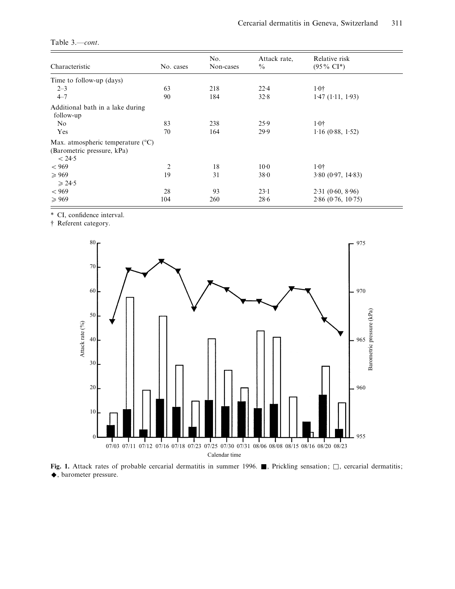|                                               |           | No.       | Attack rate,  | Relative risk        |
|-----------------------------------------------|-----------|-----------|---------------|----------------------|
| Characteristic                                | No. cases | Non-cases | $\frac{0}{0}$ | $(95\% \text{ CI*})$ |
| Time to follow-up (days)                      |           |           |               |                      |
| $2 - 3$                                       | 63        | 218       | 22.4          | 1.0 <sub>1</sub>     |
| $4 - 7$                                       | 90        | 184       | 32.8          | $1.47$ (1.11, 1.93)  |
| Additional bath in a lake during<br>follow-up |           |           |               |                      |
| N <sub>0</sub>                                | 83        | 238       | 25.9          | $1.0$ †              |
| Yes                                           | 70        | 164       | 29.9          | $1.16$ (0.88, 1.52)  |
| Max. atmospheric temperature $(^{\circ}C)$    |           |           |               |                      |
| (Barometric pressure, kPa)                    |           |           |               |                      |
| < 24.5                                        |           |           |               |                      |
| < 969                                         | 2         | 18        | $10-0$        | 1.0 <sub>1</sub>     |
| $\geqslant 969$                               | 19        | 31        | 38.0          | 3.80(0.97, 14.83)    |
| $\geqslant$ 24.5                              |           |           |               |                      |
| < 969                                         | 28        | 93        | 23.1          | 2.31(0.60, 8.96)     |
| $\geqslant 969$                               | 104       | 260       | 28.6          | 2.86(0.76, 10.75)    |

Table 3.—*cont*.

\* CI, confidence interval.

† Referent category.



Fig. 1. Attack rates of probable cercarial dermatitis in summer 1996. , Prickling sensation;  $\Box$ , cercarial dermatitis;  $\blacklozenge$ , barometer pressure.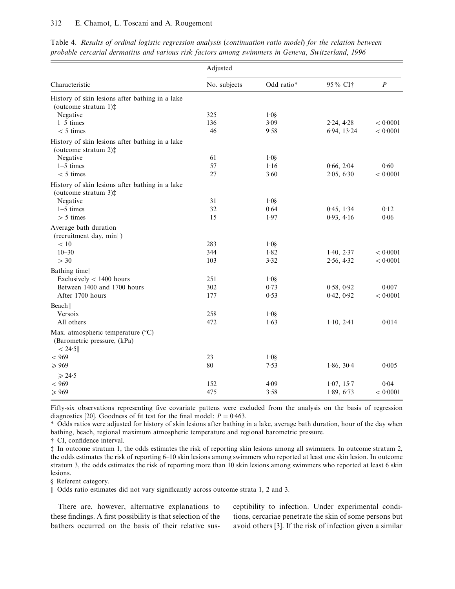|                                                                                      | Adjusted     |            |             |                  |  |
|--------------------------------------------------------------------------------------|--------------|------------|-------------|------------------|--|
| Characteristic                                                                       | No. subjects | Odd ratio* | 95% CI+     | $\boldsymbol{P}$ |  |
| History of skin lesions after bathing in a lake<br>(outcome stratum $1)$ :           |              |            |             |                  |  |
| Negative                                                                             | 325          | 1.08       |             |                  |  |
| $1-5$ times                                                                          | 136          | 3.09       | 2.24, 4.28  | < 0.0001         |  |
| $<$ 5 times                                                                          | 46           | 9.58       | 6.94, 13.24 | < 0.0001         |  |
| History of skin lesions after bathing in a lake<br>(outcome stratum $2$ ) $\ddagger$ |              |            |             |                  |  |
| Negative                                                                             | 61           | $1.0$ §    |             |                  |  |
| $1-5$ times                                                                          | 57           | 1.16       | 0.66, 2.04  | 0.60             |  |
| $< 5$ times                                                                          | 27           | 3.60       | 2.05, 6.30  | < 0.0001         |  |
| History of skin lesions after bathing in a lake<br>(outcome stratum $3$ ) $\ddagger$ |              |            |             |                  |  |
| Negative                                                                             | 31           | $1.0$ §    |             |                  |  |
| $1-5$ times                                                                          | 32           | 0.64       | 0.45, 1.34  | 0.12             |  |
| $> 5$ times                                                                          | 15           | 1.97       | 0.93, 4.16  | 0.06             |  |
| Average bath duration<br>(recruitment day, min  )                                    |              |            |             |                  |  |
| $<10\,$                                                                              | 283          | $1.0$ §    |             |                  |  |
| $10 - 30$                                                                            | 344          | 1.82       | 1.40, 2.37  | < 0.0001         |  |
| > 30                                                                                 | 103          | 3.32       | 2.56, 4.32  | < 0.0001         |  |
| Bathing time                                                                         |              |            |             |                  |  |
| Exclusively $< 1400$ hours                                                           | 251          | $1.0$ §    |             |                  |  |
| Between 1400 and 1700 hours                                                          | 302          | 0.73       | 0.58, 0.92  | 0.007            |  |
| After 1700 hours                                                                     | 177          | 0.53       | 0.42, 0.92  | < 0.0001         |  |
| Beach                                                                                |              |            |             |                  |  |
| Versoix                                                                              | 258          | $1.0$ §    |             |                  |  |
| All others                                                                           | 472          | 1.63       | 1.10, 2.41  | 0.014            |  |
| Max. atmospheric temperature (°C)<br>(Barometric pressure, (kPa)<br>< 24.5           |              |            |             |                  |  |
| < 969                                                                                | 23           | 1.08       |             |                  |  |
| $\geqslant 969$                                                                      | 80           | 7.53       | 1.86, 30.4  | 0.005            |  |
| $\geqslant 24.5$                                                                     |              |            |             |                  |  |
| < 969                                                                                | 152          | 4.09       | 1.07, 15.7  | 0.04             |  |
| $\geqslant 969$                                                                      | 475          | 3.58       | 1.89, 6.73  | < 0.0001         |  |
|                                                                                      |              |            |             |                  |  |

Table 4. *Results of ordinal logistic regression analysis* (*continuation ratio model*) *for the relation between probable cercarial dermatitis and various risk factors among swimmers in Geneva*, *Switzerland*, *1996*

Fifty-six observations representing five covariate pattens were excluded from the analysis on the basis of regression diagnostics [20]. Goodness of fit test for the final model:  $P = 0.463$ .

\* Odds ratios were adjusted for history of skin lesions after bathing in a lake, average bath duration, hour of the day when bathing, beach, regional maximum atmospheric temperature and regional barometric pressure.

† CI, confidence interval.

‡ In outcome stratum 1, the odds estimates the risk of reporting skin lesions among all swimmers. In outcome stratum 2, the odds estimates the risk of reporting 6–10 skin lesions among swimmers who reported at least one skin lesion. In outcome stratum 3, the odds estimates the risk of reporting more than 10 skin lesions among swimmers who reported at least 6 skin lesions.

§ Referent category.

s Odds ratio estimates did not vary significantly across outcome strata 1, 2 and 3.

There are, however, alternative explanations to these findings. A first possibility is that selection of the bathers occurred on the basis of their relative susceptibility to infection. Under experimental conditions, cercariae penetrate the skin of some persons but avoid others [3]. If the risk of infection given a similar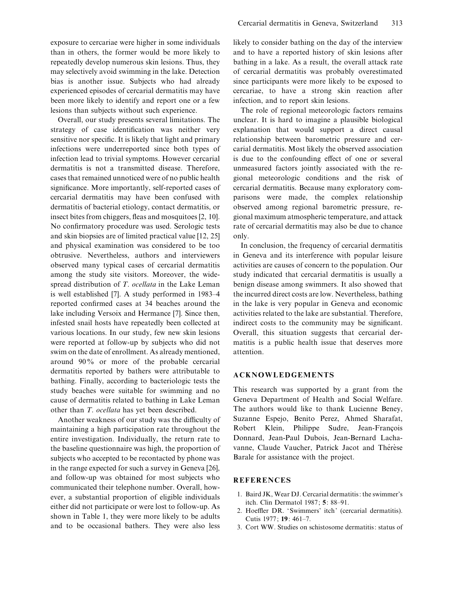exposure to cercariae were higher in some individuals than in others, the former would be more likely to repeatedly develop numerous skin lesions. Thus, they may selectively avoid swimming in the lake. Detection bias is another issue. Subjects who had already experienced episodes of cercarial dermatitis may have been more likely to identify and report one or a few lesions than subjects without such experience.

Overall, our study presents several limitations. The strategy of case identification was neither very sensitive nor specific. It is likely that light and primary infections were underreported since both types of infection lead to trivial symptoms. However cercarial dermatitis is not a transmitted disease. Therefore, cases that remained unnoticed were of no public health significance. More importantly, self-reported cases of cercarial dermatitis may have been confused with dermatitis of bacterial etiology, contact dermatitis, or insect bites from chiggers, fleas and mosquitoes [2, 10]. No confirmatory procedure was used. Serologic tests and skin biopsies are of limited practical value [12, 25] and physical examination was considered to be too obtrusive. Nevertheless, authors and interviewers observed many typical cases of cercarial dermatitis among the study site visitors. Moreover, the widespread distribution of *T*. *ocellata* in the Lake Leman is well established [7]. A study performed in 1983–4 reported confirmed cases at 34 beaches around the lake including Versoix and Hermance [7]. Since then, infested snail hosts have repeatedly been collected at various locations. In our study, few new skin lesions were reported at follow-up by subjects who did not swim on the date of enrollment. As already mentioned, around 90% or more of the probable cercarial dermatitis reported by bathers were attributable to bathing. Finally, according to bacteriologic tests the study beaches were suitable for swimming and no cause of dermatitis related to bathing in Lake Leman other than *T*. *ocellata* has yet been described.

Another weakness of our study was the difficulty of maintaining a high participation rate throughout the entire investigation. Individually, the return rate to the baseline questionnaire was high, the proportion of subjects who accepted to be recontacted by phone was in the range expected for such a survey in Geneva [26], and follow-up was obtained for most subjects who communicated their telephone number. Overall, however, a substantial proportion of eligible individuals either did not participate or were lost to follow-up. As shown in Table 1, they were more likely to be adults and to be occasional bathers. They were also less likely to consider bathing on the day of the interview and to have a reported history of skin lesions after bathing in a lake. As a result, the overall attack rate of cercarial dermatitis was probably overestimated since participants were more likely to be exposed to cercariae, to have a strong skin reaction after infection, and to report skin lesions.

The role of regional meteorologic factors remains unclear. It is hard to imagine a plausible biological explanation that would support a direct causal relationship between barometric pressure and cercarial dermatitis. Most likely the observed association is due to the confounding effect of one or several unmeasured factors jointly associated with the regional meteorologic conditions and the risk of cercarial dermatitis. Because many exploratory comparisons were made, the complex relationship observed among regional barometric pressure, regional maximum atmospheric temperature, and attack rate of cercarial dermatitis may also be due to chance only.

In conclusion, the frequency of cercarial dermatitis in Geneva and its interference with popular leisure activities are causes of concern to the population. Our study indicated that cercarial dermatitis is usually a benign disease among swimmers. It also showed that the incurred direct costs are low. Nevertheless, bathing in the lake is very popular in Geneva and economic activities related to the lake are substantial. Therefore, indirect costs to the community may be significant. Overall, this situation suggests that cercarial dermatitis is a public health issue that deserves more attention.

## **ACKNOWLEDGEMENTS**

This research was supported by a grant from the Geneva Department of Health and Social Welfare. The authors would like to thank Lucienne Beney, Suzanne Espejo, Benito Perez, Ahmed Sharafat, Robert Klein, Philippe Sudre, Jean-François Donnard, Jean-Paul Dubois, Jean-Bernard Lachavanne, Claude Vaucher, Patrick Jacot and Thérèse Barale for assistance with the project.

#### **REFERENCES**

- 1. Baird JK, Wear DJ. Cercarial dermatitis: the swimmer's itch. Clin Dermatol 1987; **5**: 88–91.
- 2. Hoeffler DR. 'Swimmers' itch' (cercarial dermatitis). Cutis 1977; **19**: 461–7.
- 3. Cort WW. Studies on schistosome dermatitis: status of